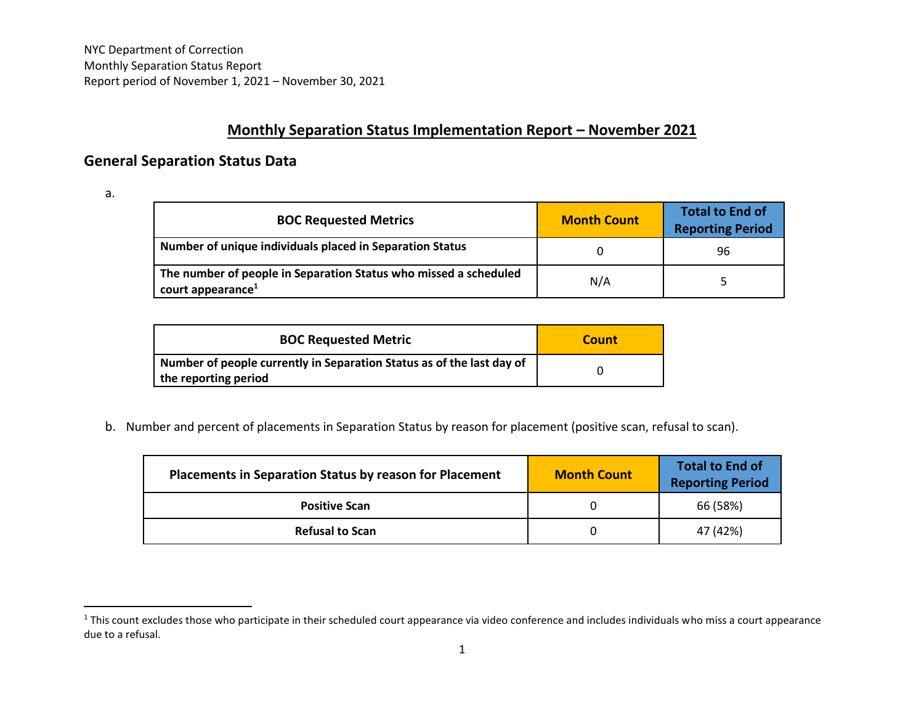## **Monthly Separation Status Implementation Report - November 2021**

## **General Separation Status Data**

a.

 $\overline{a}$ 

| <b>BOC Requested Metrics</b>                                                                      | <b>Month Count</b> | <b>Total to End of</b><br><b>Reporting Period</b> |
|---------------------------------------------------------------------------------------------------|--------------------|---------------------------------------------------|
| Number of unique individuals placed in Separation Status                                          |                    | 96                                                |
| The number of people in Separation Status who missed a scheduled<br>court appearance <sup>1</sup> | N/A                |                                                   |

| <b>BOC Requested Metric</b>                                                                   | Count |
|-----------------------------------------------------------------------------------------------|-------|
| Number of people currently in Separation Status as of the last day of<br>the reporting period |       |

b. Number and percent of placements in Separation Status by reason for placement (positive scan, refusal to scan).

| <b>Placements in Separation Status by reason for Placement</b> | <b>Month Count</b> | <b>Total to End of</b><br><b>Reporting Period</b> |
|----------------------------------------------------------------|--------------------|---------------------------------------------------|
| <b>Positive Scan</b>                                           |                    | 66 (58%)                                          |
| <b>Refusal to Scan</b>                                         |                    | 47 (42%)                                          |

 $^1$ This count excludes those who participate in their scheduled court appearance via video conference and includes individuals who miss a court appearance due to a refusal.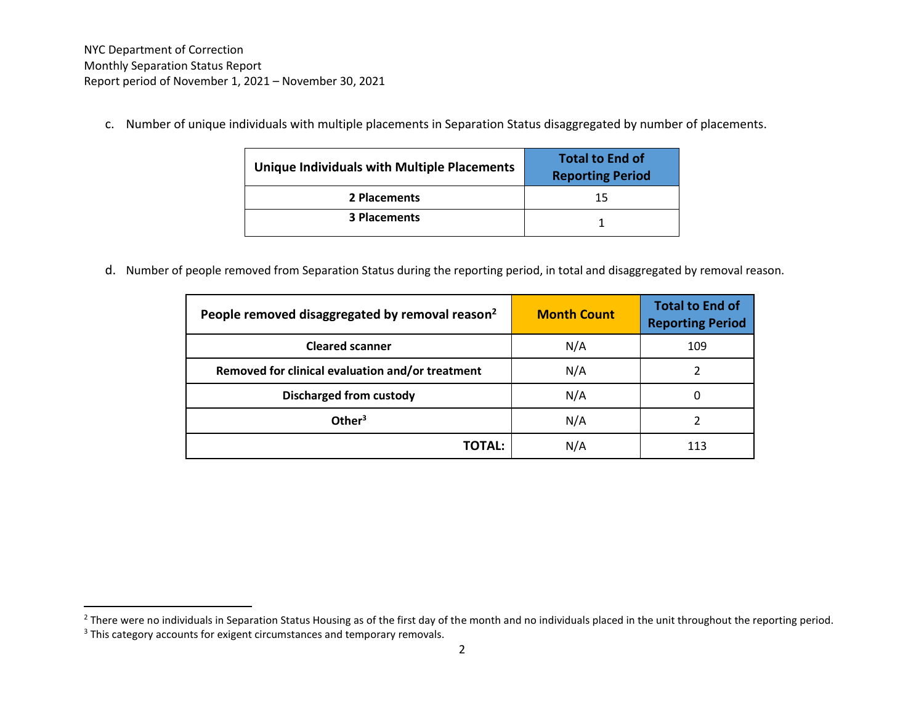c. Number of unique individuals with multiple placements in Separation Status disaggregated by number of placements.

| Unique Individuals with Multiple Placements | <b>Total to End of</b><br><b>Reporting Period</b> |
|---------------------------------------------|---------------------------------------------------|
| 2 Placements                                | 15                                                |
| <b>3 Placements</b>                         |                                                   |

d. Number of people removed from Separation Status during the reporting period, in total and disaggregated by removal reason.

| People removed disaggregated by removal reason <sup>2</sup> | <b>Month Count</b> | <b>Total to End of</b><br><b>Reporting Period</b> |
|-------------------------------------------------------------|--------------------|---------------------------------------------------|
| <b>Cleared scanner</b>                                      | N/A                | 109                                               |
| Removed for clinical evaluation and/or treatment            | N/A                |                                                   |
| <b>Discharged from custody</b>                              | N/A                |                                                   |
| Other $3$                                                   | N/A                |                                                   |
| TOTAL:                                                      | N/A                |                                                   |

 $\overline{a}$ 

 $^2$  There were no individuals in Separation Status Housing as of the first day of the month and no individuals placed in the unit throughout the reporting period.

<sup>&</sup>lt;sup>3</sup> This category accounts for exigent circumstances and temporary removals.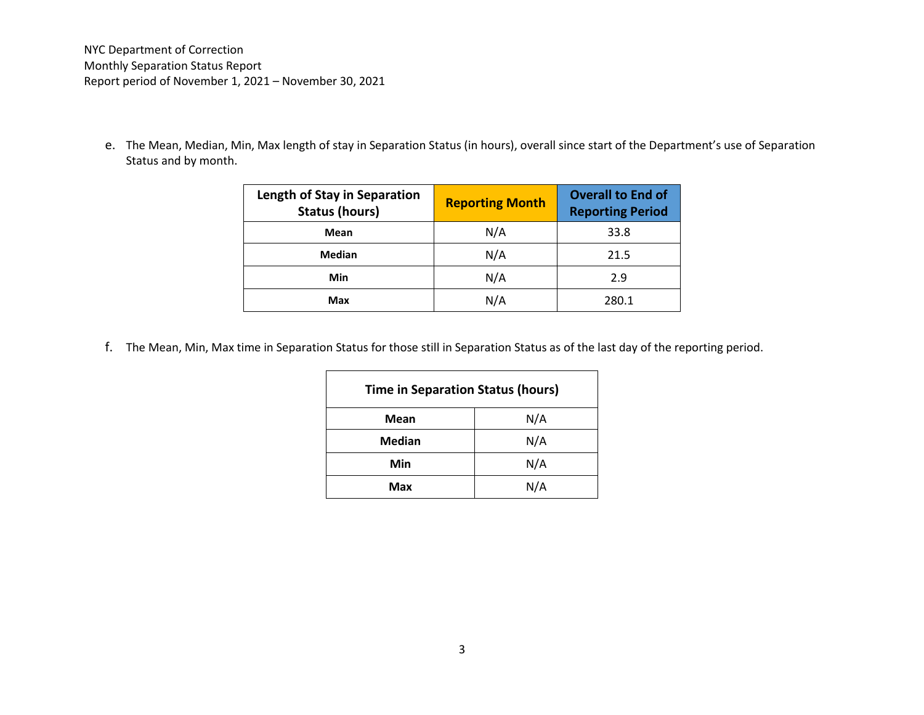NYC Department of Correction Monthly Separation Status Report Report period of November 1, 2021 – November 30, 2021

e. The Mean, Median, Min, Max length of stay in Separation Status (in hours), overall since start of the Department's use of Separation Status and by month.

| <b>Length of Stay in Separation</b><br><b>Status (hours)</b> | <b>Reporting Month</b> | <b>Overall to End of</b><br><b>Reporting Period</b> |
|--------------------------------------------------------------|------------------------|-----------------------------------------------------|
| Mean                                                         | N/A                    | 33.8                                                |
| Median                                                       | N/A                    | 21.5                                                |
| Min                                                          | N/A                    | 2.9                                                 |
| Max                                                          | N/A                    | 280.1                                               |

f. The Mean, Min, Max time in Separation Status for those still in Separation Status as of the last day of the reporting period.

| <b>Time in Separation Status (hours)</b> |     |  |
|------------------------------------------|-----|--|
| Mean                                     | N/A |  |
| <b>Median</b>                            | N/A |  |
| Min                                      | N/A |  |
| Max                                      | N/A |  |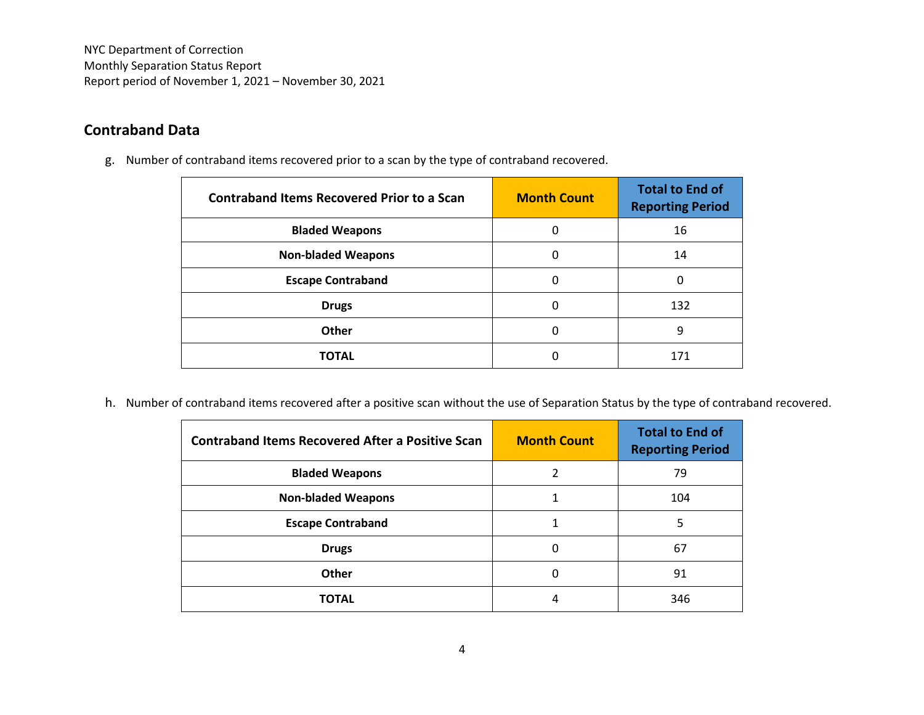NYC Department of Correction Monthly Separation Status Report Report period of November 1, 2021 – November 30, 2021

## **Contraband Data**

g. Number of contraband items recovered prior to a scan by the type of contraband recovered.

| <b>Contraband Items Recovered Prior to a Scan</b> | <b>Month Count</b> | <b>Total to End of</b><br><b>Reporting Period</b> |
|---------------------------------------------------|--------------------|---------------------------------------------------|
| <b>Bladed Weapons</b>                             | 0                  | 16                                                |
| <b>Non-bladed Weapons</b>                         | 0                  | 14                                                |
| <b>Escape Contraband</b>                          | 0                  | 0                                                 |
| <b>Drugs</b>                                      | 0                  | 132                                               |
| Other                                             | 0                  | 9                                                 |
| <b>TOTAL</b>                                      |                    | 171                                               |

h. Number of contraband items recovered after a positive scan without the use of Separation Status by the type of contraband recovered.

| <b>Contraband Items Recovered After a Positive Scan</b> | <b>Month Count</b> | <b>Total to End of</b><br><b>Reporting Period</b> |
|---------------------------------------------------------|--------------------|---------------------------------------------------|
| <b>Bladed Weapons</b>                                   |                    | 79                                                |
| <b>Non-bladed Weapons</b>                               |                    | 104                                               |
| <b>Escape Contraband</b>                                |                    | 5                                                 |
| <b>Drugs</b>                                            |                    | 67                                                |
| Other                                                   | $\Omega$           | 91                                                |
| TOTAL                                                   | 4                  | 346                                               |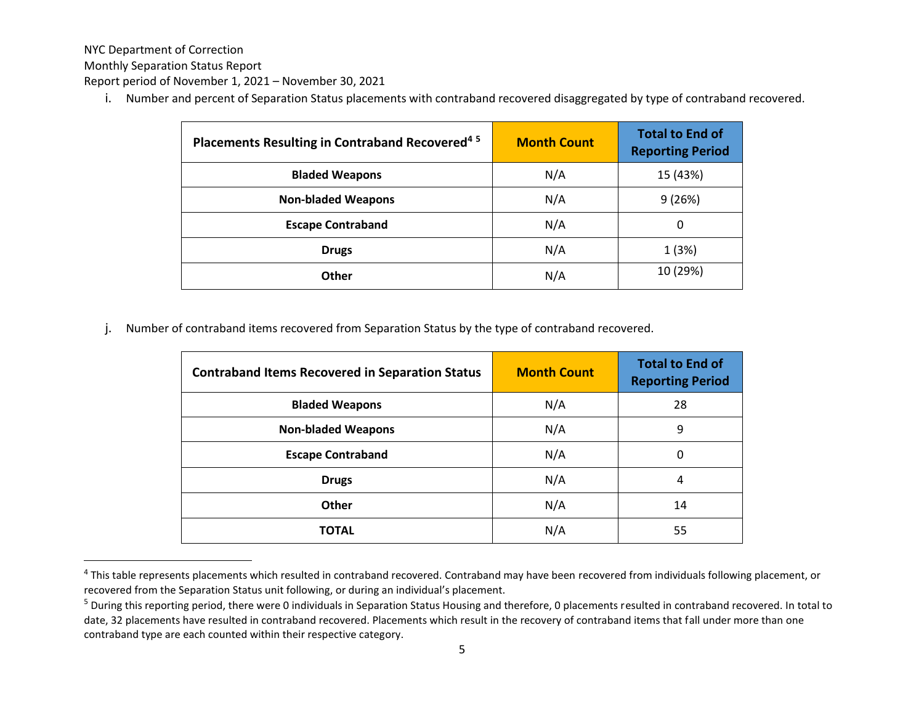NYC Department of Correction

 $\overline{\phantom{a}}$ 

Monthly Separation Status Report

Report period of November 1, 2021 – November 30, 2021

i. Number and percent of Separation Status placements with contraband recovered disaggregated by type of contraband recovered.

| Placements Resulting in Contraband Recovered <sup>45</sup> | <b>Month Count</b> | <b>Total to End of</b><br><b>Reporting Period</b> |
|------------------------------------------------------------|--------------------|---------------------------------------------------|
| <b>Bladed Weapons</b>                                      | N/A                | 15 (43%)                                          |
| <b>Non-bladed Weapons</b>                                  | N/A                | 9(26%)                                            |
| <b>Escape Contraband</b>                                   | N/A                | 0                                                 |
| <b>Drugs</b>                                               | N/A                | 1(3%)                                             |
| <b>Other</b>                                               | N/A                | 10 (29%)                                          |

j. Number of contraband items recovered from Separation Status by the type of contraband recovered.

| <b>Contraband Items Recovered in Separation Status</b> | <b>Month Count</b> | <b>Total to End of</b><br><b>Reporting Period</b> |
|--------------------------------------------------------|--------------------|---------------------------------------------------|
| <b>Bladed Weapons</b>                                  | N/A                | 28                                                |
| <b>Non-bladed Weapons</b>                              | N/A                | 9                                                 |
| <b>Escape Contraband</b>                               | N/A                | 0                                                 |
| <b>Drugs</b>                                           | N/A                | 4                                                 |
| <b>Other</b>                                           | N/A                | 14                                                |
| TOTAL                                                  | N/A                | 55                                                |

<sup>&</sup>lt;sup>4</sup> This table represents placements which resulted in contraband recovered. Contraband may have been recovered from individuals following placement, or recovered from the Separation Status unit following, or during an individual's placement.

<sup>&</sup>lt;sup>5</sup> During this reporting period, there were 0 individuals in Separation Status Housing and therefore, 0 placements resulted in contraband recovered. In total to date, 32 placements have resulted in contraband recovered. Placements which result in the recovery of contraband items that fall under more than one contraband type are each counted within their respective category.